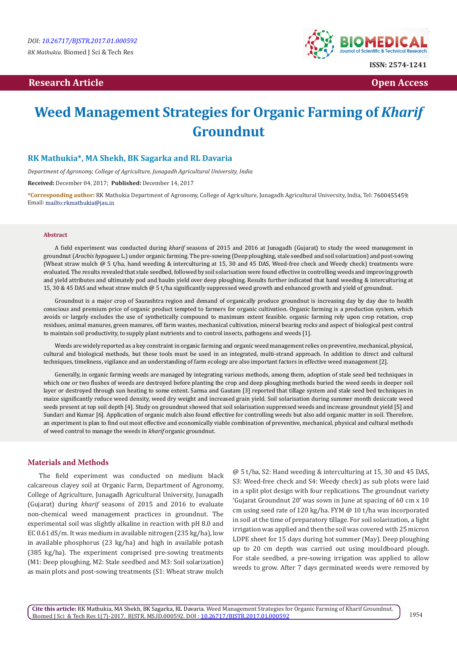# **Research Article Community Community Community Community Community Community Community Community Community Community Community Community Community Community Community Community Community Community Community Community Com**



# **Weed Management Strategies for Organic Farming of** *Kharif*  **Groundnut**

### **RK Mathukia\*, MA Shekh, BK Sagarka and RL Davaria**

*Department of Agronomy, College of Agriculture, Junagadh Agricultural University, India* 

**Received:** December 04, 2017; **Published:** December 14, 2017

**\*Corresponding author:** RK Mathukia Department of Agronomy, College of Agriculture, Junagadh Agricultural University, India, Tel: ; Email: mailto:rkmathukia@jau.in

#### **Abstract**

A field experiment was conducted during *kharif* seasons of 2015 and 2016 at Junagadh (Gujarat) to study the weed management in groundnut (*Arachis hypogaea* L.) under organic farming. The pre-sowing (Deep ploughing, stale seedbed and soil solarization) and post-sowing (Wheat straw mulch @ 5 t/ha, hand weeding & interculturing at 15, 30 and 45 DAS, Weed-free check and Weedy check) treatments were evaluated. The results revealed that stale seedbed, followed by soil solarisation were found effective in controlling weeds and improving growth and yield attributes and ultimately pod and haulm yield over deep ploughing. Results further indicated that hand weeding & interculturing at 15, 30 & 45 DAS and wheat straw mulch @ 5 t/ha significantly suppressed weed growth and enhanced growth and yield of groundnut.

Groundnut is a major crop of Saurashtra region and demand of organically produce groundnut is increasing day by day due to health conscious and premium price of organic product tempted to farmers for organic cultivation. Organic farming is a production system, which avoids or largely excludes the use of synthetically compound to maximum extent feasible. organic farming rely upon crop rotation, crop residues, animal manures, green manures, off farm wastes, mechanical cultivation, mineral bearing rocks and aspect of biological pest control to maintain soil productivity, to supply plant nutrients and to control insects, pathogens and weeds [1].

Weeds are widely reported as a key constraint in organic farming and organic weed management relies on preventive, mechanical, physical, cultural and biological methods, but these tools must be used in an integrated, multi-strand approach. In addition to direct and cultural techniques, timeliness, vigilance and an understanding of farm ecology are also important factors in effective weed management [2].

Generally, in organic farming weeds are managed by integrating various methods, among them, adoption of stale seed bed techniques in which one or two flushes of weeds are destroyed before planting the crop and deep ploughing methods buried the weed seeds in deeper soil layer or destroyed through sun heating to some extent. Sarma and Gautam [3] reported that tillage system and stale seed bed techniques in maize significantly reduce weed density, weed dry weight and increased grain yield. Soil solarisation during summer month desiccate weed seeds present at top soil depth [4]. Study on groundnut showed that soil solarisation suppressed weeds and increase groundnut yield [5] and Sundari and Kumar [6]. Application of organic mulch also found effective for controlling weeds but also add organic matter in soil. Therefore, an experiment is plan to find out most effective and economically viable combination of preventive, mechanical, physical and cultural methods of weed control to manage the weeds in *kharif* organic groundnut.

#### **Materials and Methods**

The field experiment was conducted on medium black calcareous clayey soil at Organic Farm, Department of Agronomy, College of Agriculture, Junagadh Agricultural University, Junagadh (Gujarat) during *kharif* seasons of 2015 and 2016 to evaluate non-chemical weed management practices in groundnut. The experimental soil was slightly alkaline in reaction with pH 8.0 and EC 0.61 dS/m. It was medium in available nitrogen (235 kg/ha), low in available phosphorus (23 kg/ha) and high in available potash (385 kg/ha). The experiment comprised pre-sowing treatments (M1: Deep ploughing, M2: Stale seedbed and M3: Soil solarization) as main plots and post-sowing treatments (S1: Wheat straw mulch

@ 5 t/ha, S2: Hand weeding & interculturing at 15, 30 and 45 DAS, S3: Weed-free check and S4: Weedy check) as sub plots were laid in a split plot design with four replications. The groundnut variety 'Gujarat Groundnut 20' was sown in June at spacing of 60 cm x 10 cm using seed rate of 120 kg/ha. FYM @ 10 t/ha was incorporated in soil at the time of preparatory tillage. For soil solarization, a light irrigation was applied and then the soil was covered with 25 micron LDPE sheet for 15 days during hot summer (May). Deep ploughing up to 20 cm depth was carried out using mouldboard plough. For stale seedbed, a pre-sowing irrigation was applied to allow weeds to grow. After 7 days germinated weeds were removed by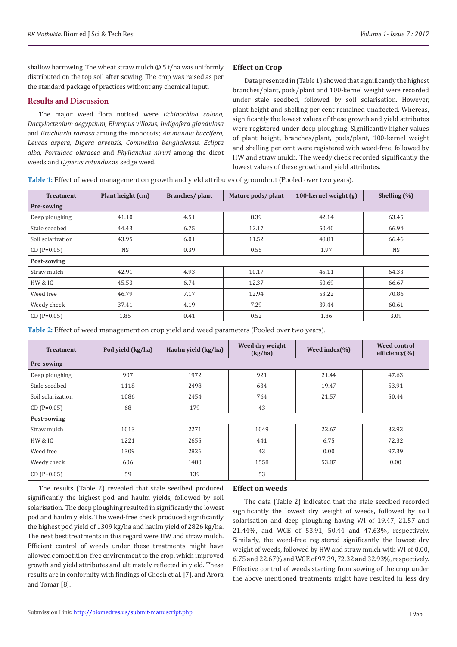shallow harrowing. The wheat straw mulch  $\omega$  5 t/ha was uniformly distributed on the top soil after sowing. The crop was raised as per the standard package of practices without any chemical input.

#### **Results and Discussion**

The major weed flora noticed were *Echinochloa colona, Dactyloctenium aegyptium, Eluropus villosus, Indigofera glandulosa*  and *Brachiaria ramosa* among the monocots; *Ammannia baccifera, Leucas aspera, Digera arvensis, Commelina benghalensis, Eclipta alba, Portulaca oleracea* and *Phyllanthus niruri* among the dicot weeds and *Cyperus rotundus* as sedge weed.

#### **Effect on Crop**

Data presented in (Table 1) showed that significantly the highest branches/plant, pods/plant and 100-kernel weight were recorded under stale seedbed, followed by soil solarisation. However, plant height and shelling per cent remained unaffected. Whereas, significantly the lowest values of these growth and yield attributes were registered under deep ploughing. Significantly higher values of plant height, branches/plant, pods/plant, 100-kernel weight and shelling per cent were registered with weed-free, followed by HW and straw mulch. The weedy check recorded significantly the lowest values of these growth and yield attributes.

**Table 1:** Effect of weed management on growth and yield attributes of groundnut (Pooled over two years).

| <b>Treatment</b>  | Plant height (cm) | Branches/plant | Mature pods/ plant | 100-kernel weight (g) | Shelling $(\% )$ |  |  |  |  |
|-------------------|-------------------|----------------|--------------------|-----------------------|------------------|--|--|--|--|
| Pre-sowing        |                   |                |                    |                       |                  |  |  |  |  |
| Deep ploughing    | 41.10             | 4.51           | 8.39               | 42.14                 | 63.45            |  |  |  |  |
| Stale seedbed     | 44.43             | 6.75           | 12.17              | 50.40                 | 66.94            |  |  |  |  |
| Soil solarization | 43.95             | 6.01           | 11.52              | 48.81                 | 66.46            |  |  |  |  |
| $CD (P=0.05)$     | <b>NS</b>         | 0.39           | 0.55               | 1.97                  | <b>NS</b>        |  |  |  |  |
| Post-sowing       |                   |                |                    |                       |                  |  |  |  |  |
| Straw mulch       | 42.91             | 4.93           | 10.17              | 45.11                 | 64.33            |  |  |  |  |
| HW & IC           | 45.53             | 6.74           | 12.37              | 50.69                 | 66.67            |  |  |  |  |
| Weed free         | 46.79             | 7.17           | 12.94              | 53.22                 | 70.86            |  |  |  |  |
| Weedy check       | 37.41             | 4.19           | 7.29               | 39.44                 | 60.61            |  |  |  |  |
| $CD (P=0.05)$     | 1.85              | 0.41           | 0.52               | 1.86                  | 3.09             |  |  |  |  |

**Table 2:** Effect of weed management on crop yield and weed parameters (Pooled over two years).

| <b>Treatment</b>  | Pod yield (kg/ha) | Haulm yield (kg/ha) | Weed dry weight<br>(kg/ha) | Weed index $(\% )$ | <b>Weed control</b><br>efficiency $(\% )$ |  |  |  |  |
|-------------------|-------------------|---------------------|----------------------------|--------------------|-------------------------------------------|--|--|--|--|
| Pre-sowing        |                   |                     |                            |                    |                                           |  |  |  |  |
| Deep ploughing    | 907               | 1972                | 921                        | 21.44              | 47.63                                     |  |  |  |  |
| Stale seedbed     | 1118              | 2498                | 634                        | 19.47              | 53.91                                     |  |  |  |  |
| Soil solarization | 1086              | 2454                | 764                        | 21.57              | 50.44                                     |  |  |  |  |
| $CD (P=0.05)$     | 68                | 179                 | 43                         |                    |                                           |  |  |  |  |
| Post-sowing       |                   |                     |                            |                    |                                           |  |  |  |  |
| Straw mulch       | 1013              | 2271                | 1049                       | 22.67              | 32.93                                     |  |  |  |  |
| HW & IC           | 1221              | 2655                | 441                        | 6.75               | 72.32                                     |  |  |  |  |
| Weed free         | 1309              | 2826                | 43                         | 0.00               | 97.39                                     |  |  |  |  |
| Weedy check       | 606               | 1480                | 1558                       | 53.87              | 0.00                                      |  |  |  |  |
| $CD (P=0.05)$     | 59                | 139                 | 53                         |                    |                                           |  |  |  |  |

The results (Table 2) revealed that stale seedbed produced significantly the highest pod and haulm yields, followed by soil solarisation. The deep ploughing resulted in significantly the lowest pod and haulm yields. The weed-free check produced significantly the highest pod yield of 1309 kg/ha and haulm yield of 2826 kg/ha. The next best treatments in this regard were HW and straw mulch. Efficient control of weeds under these treatments might have allowed competition-free environment to the crop, which improved growth and yield attributes and ultimately reflected in yield. These results are in conformity with findings of Ghosh et al. [7]. and Arora and Tomar [8].

## **Effect on weeds**

The data (Table 2) indicated that the stale seedbed recorded significantly the lowest dry weight of weeds, followed by soil solarisation and deep ploughing having WI of 19.47, 21.57 and 21.44%, and WCE of 53.91, 50.44 and 47.63%, respectively. Similarly, the weed-free registered significantly the lowest dry weight of weeds, followed by HW and straw mulch with WI of 0.00, 6.75 and 22.67% and WCE of 97.39, 72.32 and 32.93%, respectively. Effective control of weeds starting from sowing of the crop under the above mentioned treatments might have resulted in less dry